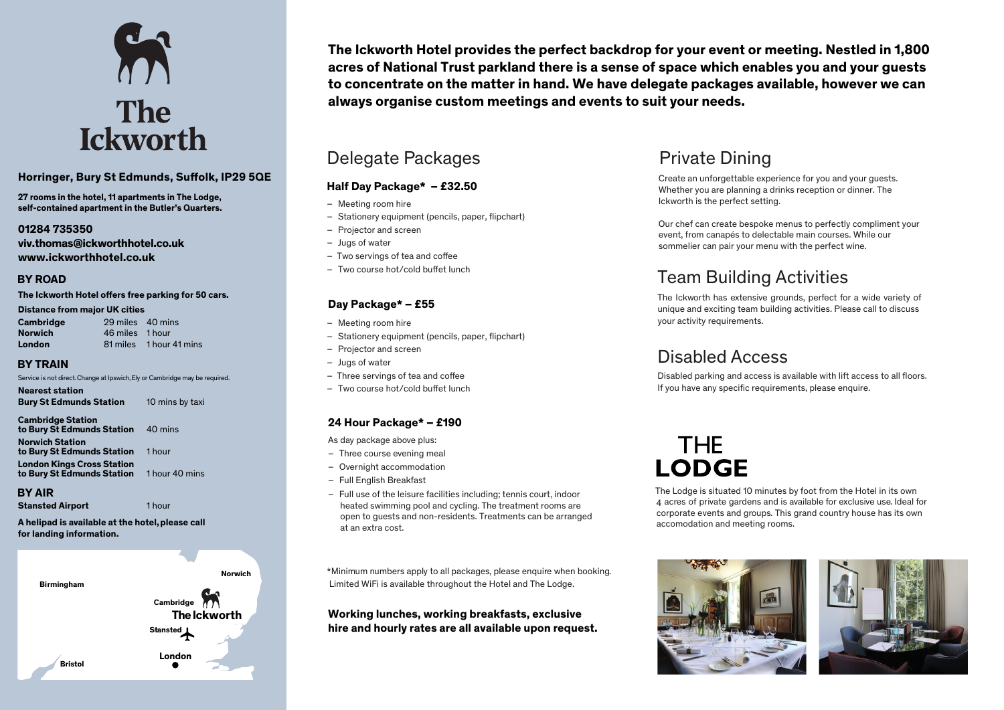

#### **Horringer, Bury St Edmunds, Suffolk, IP29 5QE**

**27 rooms in the hotel, 11 apartments in The Lodge, self-contained apartment in the Butler's Quarters.**

#### **01284 735350 viv.thomas@ickworthhotel.co.uk www.ick worthhotel.co.uk**

### **BY ROAD**

#### The Ickworth Hotel offers free parking for 50 cars.

#### **Distance from major UK cities**

| Cambridge      | 29 miles 40 mins |                         |
|----------------|------------------|-------------------------|
| <b>Norwich</b> | 46 miles 1 hour  |                         |
| London         |                  | 81 miles 1 hour 41 mins |

#### **BY TRAIN**

Service is not direct.Change at Ipswich,Ely or Cambridge may be required.

**Nearest station Bury St Edmunds Station** 10 mins by taxi

**Cambridge Station to Bury St Edmunds Station** 40 mins **Norwich Station to Bury St Edmunds Station** 1 hour **London Kings Cross Station to Bury St Edmunds Station** 1 hour 40 mins

#### **BY AIR**

**Stansted Airport** 1 hour

**A helipad is available at the hotel, please call for landing information.** 



**The Ickworth Hotel provides the perfect backdrop for your event or meeting. Nestled in 1,800 acres of National Trust parkland there is a sense of space which enables you and your guests to concentrate on the matter in hand. We have delegate packages available, however we can always organise custom meetings and events to suit your needs.**

### Delegate Packages

### **Half Day Package\* – £32.50**

- Meeting room hire
- $-$  Stationery equipment (pencils, paper, flipchart)
- Projector and screen
- Jugs of water
- $-$  Two servings of tea and coffee
- $-$  Two course hot/cold buffet lunch

### **Day Package\* – £55**

- Meeting room hire
- Stationery equipment (pencils, paper, flipchart)
- Projector and screen
- Jugs of water
- $-$  Three servings of tea and coffee
- $-$  Two course hot/cold buffet lunch

### **24 Hour Package\* – £190**

As day package above plus:

- Three course evening meal
- Overnight accommodation
- Full English Breakfast
- Full use of the leisure facilities including; tennis court, indoor heated swimming pool and cycling. The treatment rooms are open to guests and non-residents. Treatments can be arranged at an extra cost.

\*Minimum numbers apply to all packages, please enquire when booking. Limited WiFi is available throughout the Hotel and The Lodge.

### **Working lunches, working breakfasts, exclusive hire and hourly rates are all available upon request.**

## Private Dining

Create an unforgettable experience for you and your guests. Whether you are planning a drinks reception or dinner. The Ickworth is the perfect setting.

Our chef can create bespoke menus to perfectly compliment your event, from canapés to delectable main courses. While our sommelier can pair your menu with the perfect wine.

# Team Building Activities

The Ickworth has extensive grounds, perfect for a wide variety of unique and exciting team building activities. Please call to discuss your activity requirements.

# Disabled Access

Disabled parking and access is available with lift access to all floors. If you have any specific requirements, please enquire.

# THF **LODGE**

4 acres of private gardens and is available for exclusive use. Ideal for The Lodge is situated 10 minutes by foot from the Hotel in its own corporate events and groups. This grand country house has its own accomodation and meeting rooms.